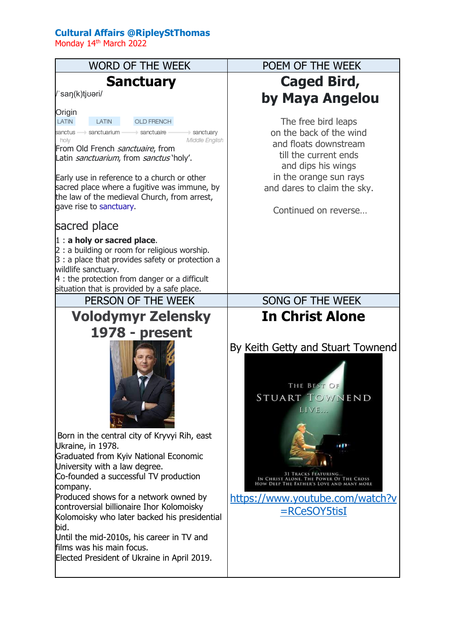## **Cultural Affairs @RipleyStThomas**

Monday 14th March 2022